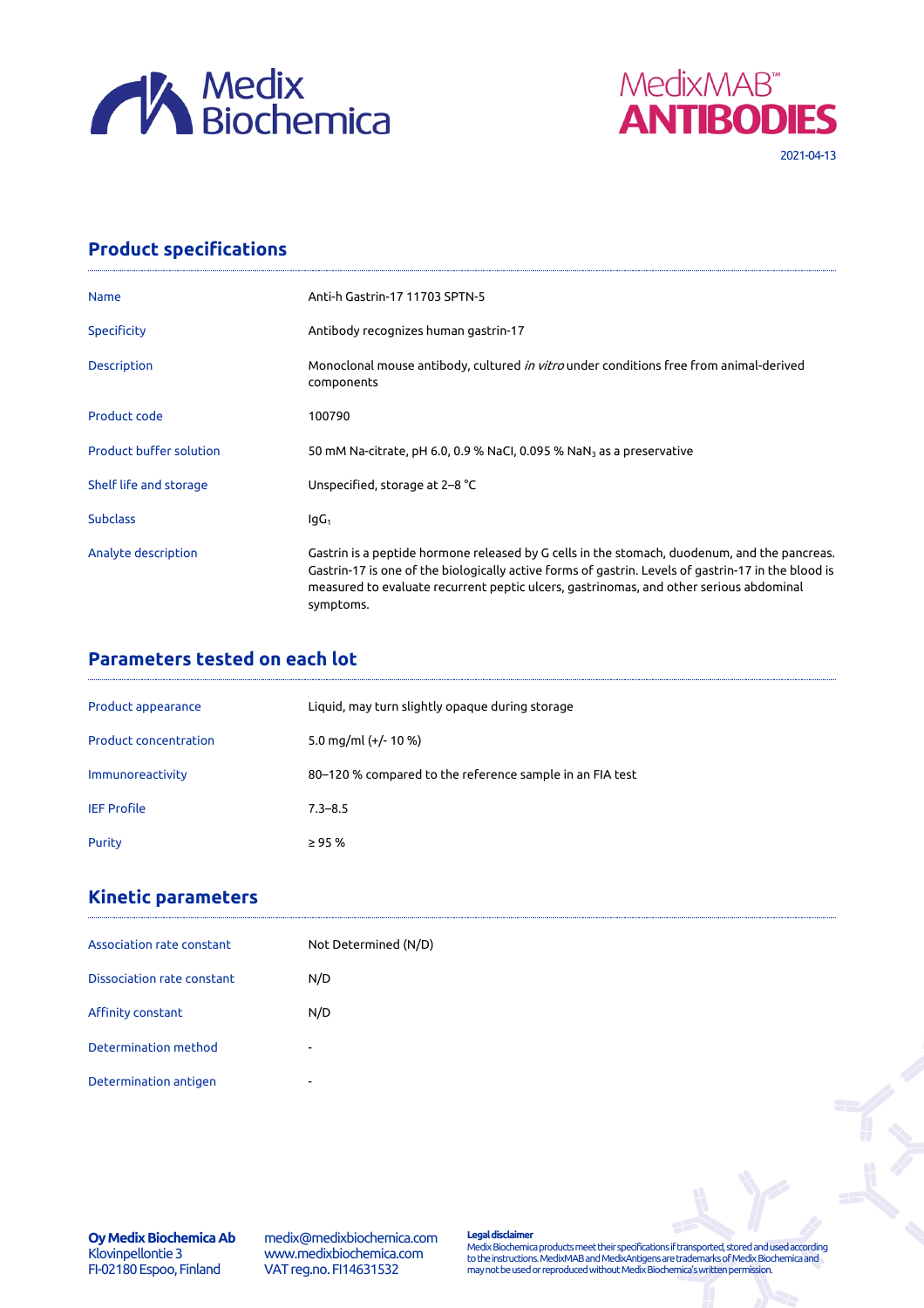



# **Product specifications**

| <b>Name</b>                    | Anti-h Gastrin-17 11703 SPTN-5                                                                                                                                                                                                                                                                             |
|--------------------------------|------------------------------------------------------------------------------------------------------------------------------------------------------------------------------------------------------------------------------------------------------------------------------------------------------------|
| Specificity                    | Antibody recognizes human gastrin-17                                                                                                                                                                                                                                                                       |
| <b>Description</b>             | Monoclonal mouse antibody, cultured <i>in vitro</i> under conditions free from animal-derived<br>components                                                                                                                                                                                                |
| Product code                   | 100790                                                                                                                                                                                                                                                                                                     |
| <b>Product buffer solution</b> | 50 mM Na-citrate, pH 6.0, 0.9 % NaCl, 0.095 % NaN <sub>3</sub> as a preservative                                                                                                                                                                                                                           |
| Shelf life and storage         | Unspecified, storage at 2–8 °C                                                                                                                                                                                                                                                                             |
| <b>Subclass</b>                | $IqG_1$                                                                                                                                                                                                                                                                                                    |
| Analyte description            | Gastrin is a peptide hormone released by G cells in the stomach, duodenum, and the pancreas.<br>Gastrin-17 is one of the biologically active forms of gastrin. Levels of gastrin-17 in the blood is<br>measured to evaluate recurrent peptic ulcers, gastrinomas, and other serious abdominal<br>symptoms. |

# **Parameters tested on each lot**

| Product appearance           | Liquid, may turn slightly opaque during storage          |
|------------------------------|----------------------------------------------------------|
| <b>Product concentration</b> | 5.0 mg/ml $(+/- 10 %$                                    |
| Immunoreactivity             | 80–120 % compared to the reference sample in an FIA test |
| <b>IEF Profile</b>           | $7.3 - 8.5$                                              |
| Purity                       | $\geq$ 95 %                                              |

# **Kinetic parameters**

| Association rate constant  | Not Determined (N/D)     |
|----------------------------|--------------------------|
| Dissociation rate constant | N/D                      |
| Affinity constant          | N/D                      |
| Determination method       | $\sim$                   |
| Determination antigen      | $\overline{\phantom{0}}$ |

**Oy Medix Biochemica Ab** Klovinpellontie 3 FI-02180 Espoo, Finland

medix@medixbiochemica.com www.medixbiochemica.com VAT reg.no. FI14631532

**Legal disclaimer** Medix Biochemica products meet their specifications if transported, stored and used according to the instructions. MedixMAB and MedixAntigens are trademarks of Medix Biochemica and may not be used or reproduced without Medix Biochemica's written permission.